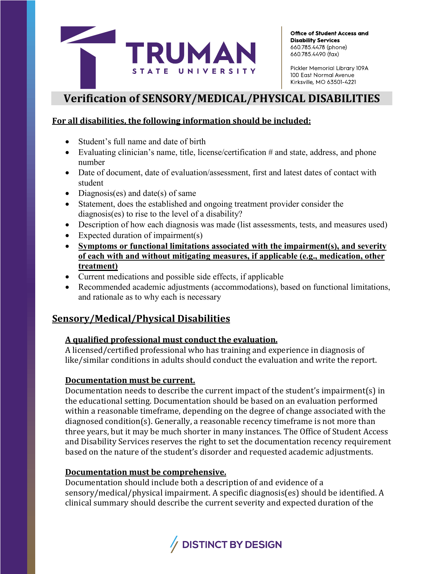

Pickler Memorial Library 109A 100 East Normal Avenue Kirksville, MO 63501-4221

# **Verification of SENSORY/MEDICAL/PHYSICAL DISABILITIES**

#### **For all disabilities, the following information should be included:**

- Student's full name and date of birth
- Evaluating clinician's name, title, license/certification # and state, address, and phone number
- Date of document, date of evaluation/assessment, first and latest dates of contact with student
- Diagnosis(es) and date(s) of same
- Statement, does the established and ongoing treatment provider consider the diagnosis(es) to rise to the level of a disability?
- Description of how each diagnosis was made (list assessments, tests, and measures used)
- Expected duration of impairment(s)
- **Symptoms or functional limitations associated with the impairment(s), and severity of each with and without mitigating measures, if applicable (e.g., medication, other treatment)**
- Current medications and possible side effects, if applicable
- Recommended academic adjustments (accommodations), based on functional limitations, and rationale as to why each is necessary

## **Sensory/Medical/Physical Disabilities**

#### **A qualified professional must conduct the evaluation.**

A licensed/certified professional who has training and experience in diagnosis of like/similar conditions in adults should conduct the evaluation and write the report.

### **Documentation must be current.**

Documentation needs to describe the current impact of the student's impairment(s) in the educational setting. Documentation should be based on an evaluation performed within a reasonable timeframe, depending on the degree of change associated with the diagnosed condition(s). Generally, a reasonable recency timeframe is not more than three years, but it may be much shorter in many instances. The Office of Student Access and Disability Services reserves the right to set the documentation recency requirement based on the nature of the student's disorder and requested academic adjustments.

#### **Documentation must be comprehensive.**

Documentation should include both a description of and evidence of a sensory/medical/physical impairment. A specific diagnosis(es) should be identified. A clinical summary should describe the current severity and expected duration of the